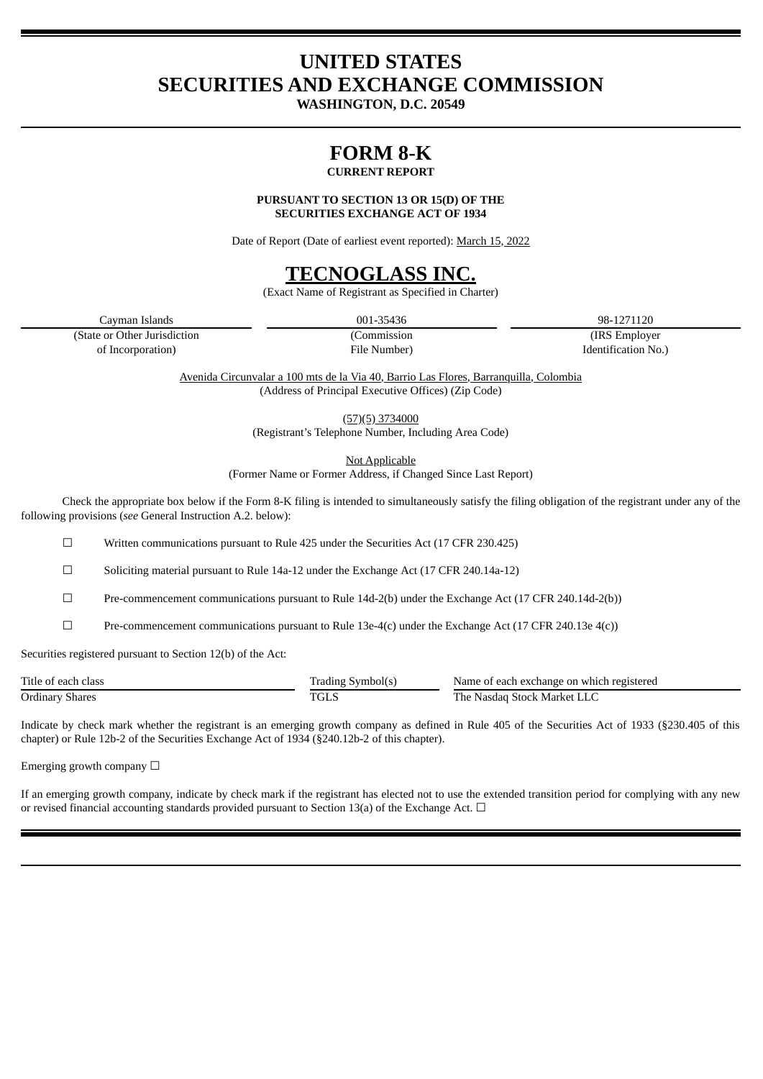# **UNITED STATES SECURITIES AND EXCHANGE COMMISSION**

**WASHINGTON, D.C. 20549**

# **FORM 8-K**

## **CURRENT REPORT**

**PURSUANT TO SECTION 13 OR 15(D) OF THE SECURITIES EXCHANGE ACT OF 1934**

Date of Report (Date of earliest event reported): March 15, 2022

# **TECNOGLASS INC.**

(Exact Name of Registrant as Specified in Charter)

Cayman Islands 001-35436 98-1271120

(State or Other Jurisdiction (Commission (IRS Employer of Incorporation) File Number) Identification No.)

> Avenida Circunvalar a 100 mts de la Via 40, Barrio Las Flores, Barranquilla, Colombia (Address of Principal Executive Offices) (Zip Code)

> > (57)(5) 3734000

(Registrant's Telephone Number, Including Area Code)

Not Applicable

(Former Name or Former Address, if Changed Since Last Report)

Check the appropriate box below if the Form 8-K filing is intended to simultaneously satisfy the filing obligation of the registrant under any of the following provisions (*see* General Instruction A.2. below):

☐ Written communications pursuant to Rule 425 under the Securities Act (17 CFR 230.425)

☐ Soliciting material pursuant to Rule 14a-12 under the Exchange Act (17 CFR 240.14a-12)

☐ Pre-commencement communications pursuant to Rule 14d-2(b) under the Exchange Act (17 CFR 240.14d-2(b))

 $\Box$  Pre-commencement communications pursuant to Rule 13e-4(c) under the Exchange Act (17 CFR 240.13e 4(c))

Securities registered pursuant to Section 12(b) of the Act:

| Title of each class | --<br>symbol(s)<br>fradıng | Name of each exchange on which registered |
|---------------------|----------------------------|-------------------------------------------|
| Ordinary<br>Shares  | TGL                        | m<br>'he<br>. Stock Market<br>Nasdad      |

Indicate by check mark whether the registrant is an emerging growth company as defined in Rule 405 of the Securities Act of 1933 (§230.405 of this chapter) or Rule 12b-2 of the Securities Exchange Act of 1934 (§240.12b-2 of this chapter).

Emerging growth company  $\Box$ 

If an emerging growth company, indicate by check mark if the registrant has elected not to use the extended transition period for complying with any new or revised financial accounting standards provided pursuant to Section 13(a) of the Exchange Act.  $\Box$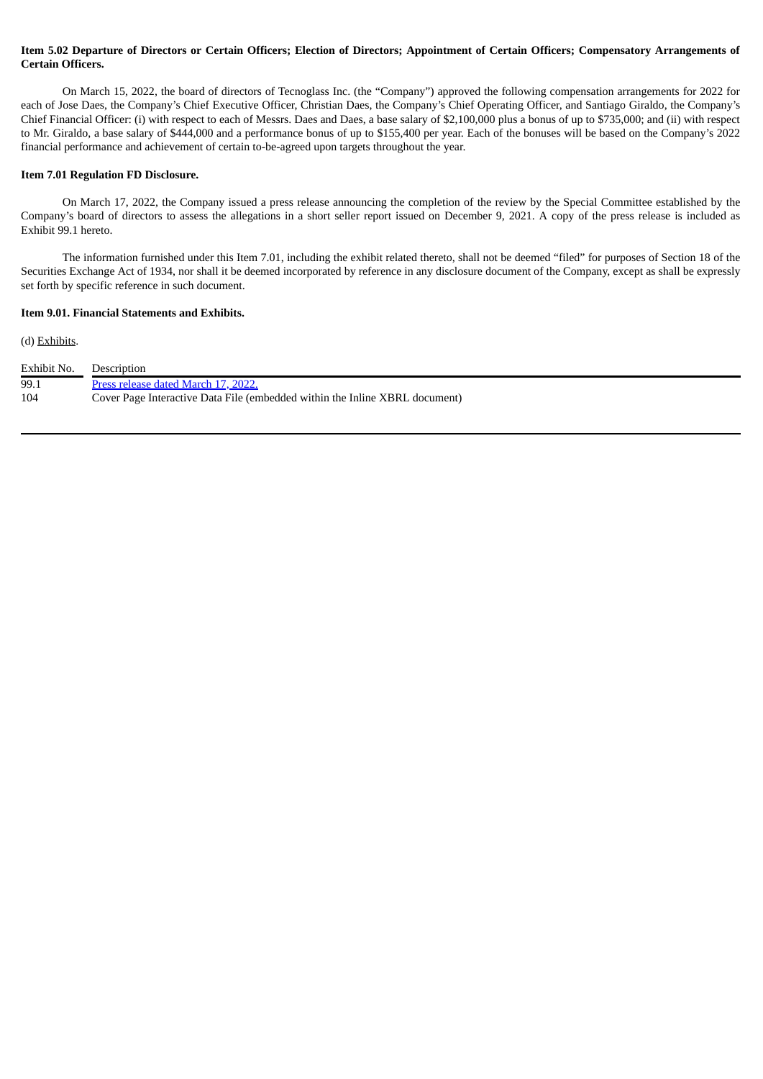### Item 5.02 Departure of Directors or Certain Officers; Election of Directors; Appointment of Certain Officers; Compensatory Arrangements of **Certain Officers.**

On March 15, 2022, the board of directors of Tecnoglass Inc. (the "Company") approved the following compensation arrangements for 2022 for each of Jose Daes, the Company's Chief Executive Officer, Christian Daes, the Company's Chief Operating Officer, and Santiago Giraldo, the Company's Chief Financial Officer: (i) with respect to each of Messrs. Daes and Daes, a base salary of \$2,100,000 plus a bonus of up to \$735,000; and (ii) with respect to Mr. Giraldo, a base salary of \$444,000 and a performance bonus of up to \$155,400 per year. Each of the bonuses will be based on the Company's 2022 financial performance and achievement of certain to-be-agreed upon targets throughout the year.

### **Item 7.01 Regulation FD Disclosure.**

On March 17, 2022, the Company issued a press release announcing the completion of the review by the Special Committee established by the Company's board of directors to assess the allegations in a short seller report issued on December 9, 2021. A copy of the press release is included as Exhibit 99.1 hereto.

The information furnished under this Item 7.01, including the exhibit related thereto, shall not be deemed "filed" for purposes of Section 18 of the Securities Exchange Act of 1934, nor shall it be deemed incorporated by reference in any disclosure document of the Company, except as shall be expressly set forth by specific reference in such document.

### **Item 9.01. Financial Statements and Exhibits.**

#### (d) Exhibits.

| Exhibit No. | Description                                                                 |
|-------------|-----------------------------------------------------------------------------|
| 99.1        | Press release dated March 17, 2022.                                         |
| 104         | Cover Page Interactive Data File (embedded within the Inline XBRL document) |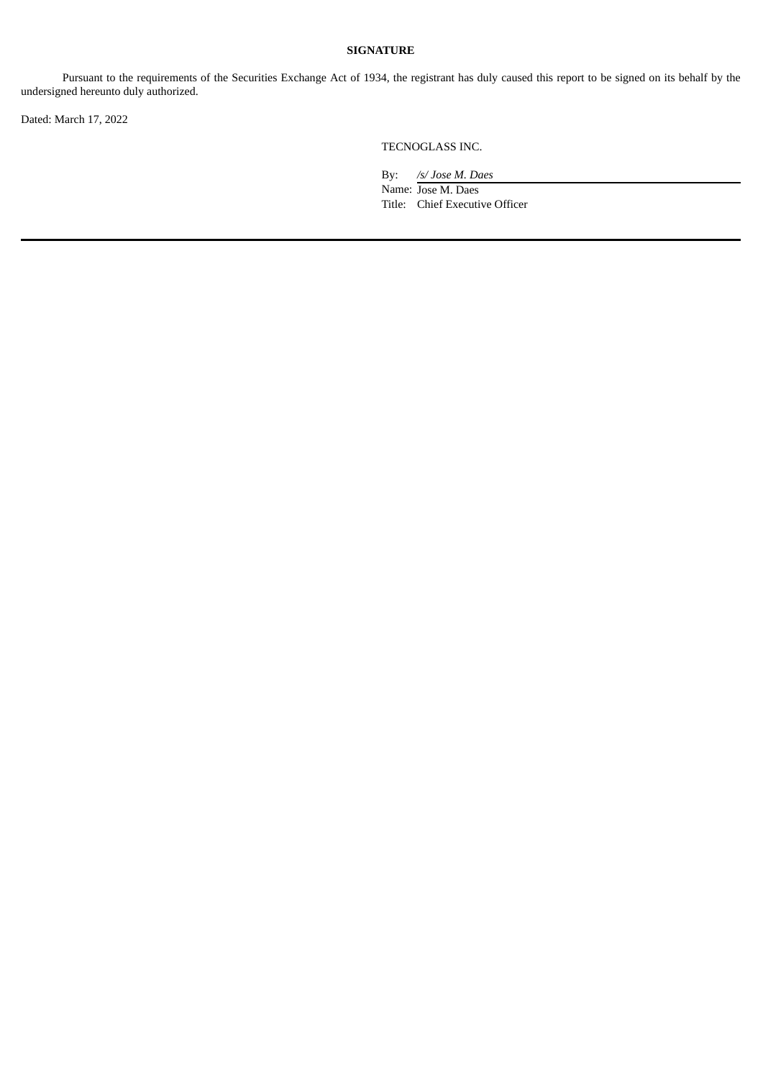### **SIGNATURE**

Pursuant to the requirements of the Securities Exchange Act of 1934, the registrant has duly caused this report to be signed on its behalf by the undersigned hereunto duly authorized.

Dated: March 17, 2022

TECNOGLASS INC.

By: */s/ Jose M. Daes* Name: Jose M. Daes Title: Chief Executive Officer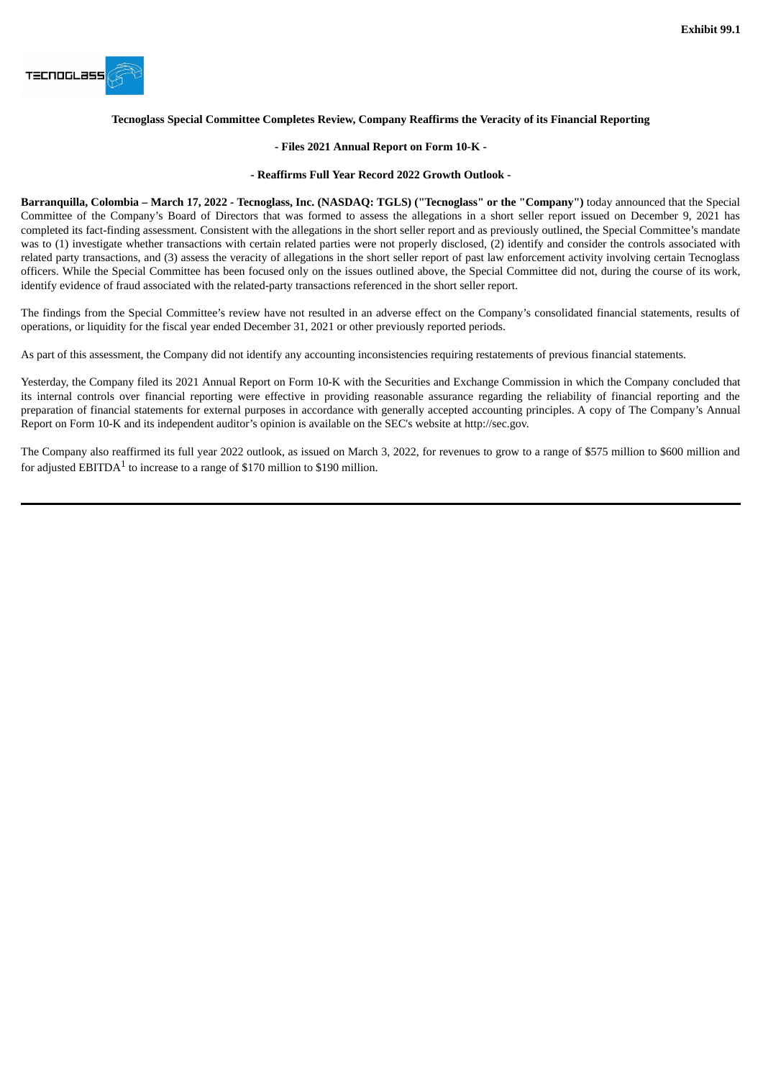<span id="page-3-0"></span>

### **Tecnoglass Special Committee Completes Review, Company Reaffirms the Veracity of its Financial Reporting**

#### **- Files 2021 Annual Report on Form 10-K -**

#### **- Reaffirms Full Year Record 2022 Growth Outlook -**

Barranquilla, Colombia - March 17, 2022 - Tecnoglass, Inc. (NASDAQ: TGLS) ("Tecnoglass" or the "Company") today announced that the Special Committee of the Company's Board of Directors that was formed to assess the allegations in a short seller report issued on December 9, 2021 has completed its fact-finding assessment. Consistent with the allegations in the short seller report and as previously outlined, the Special Committee's mandate was to (1) investigate whether transactions with certain related parties were not properly disclosed, (2) identify and consider the controls associated with related party transactions, and (3) assess the veracity of allegations in the short seller report of past law enforcement activity involving certain Tecnoglass officers. While the Special Committee has been focused only on the issues outlined above, the Special Committee did not, during the course of its work, identify evidence of fraud associated with the related-party transactions referenced in the short seller report.

The findings from the Special Committee's review have not resulted in an adverse effect on the Company's consolidated financial statements, results of operations, or liquidity for the fiscal year ended December 31, 2021 or other previously reported periods.

As part of this assessment, the Company did not identify any accounting inconsistencies requiring restatements of previous financial statements.

Yesterday, the Company filed its 2021 Annual Report on Form 10-K with the Securities and Exchange Commission in which the Company concluded that its internal controls over financial reporting were effective in providing reasonable assurance regarding the reliability of financial reporting and the preparation of financial statements for external purposes in accordance with generally accepted accounting principles. A copy of The Company's Annual Report on Form 10-K and its independent auditor's opinion is available on the SEC's website at http://sec.gov.

The Company also reaffirmed its full year 2022 outlook, as issued on March 3, 2022, for revenues to grow to a range of \$575 million to \$600 million and for adjusted EBITDA $^1$  to increase to a range of \$170 million to \$190 million.